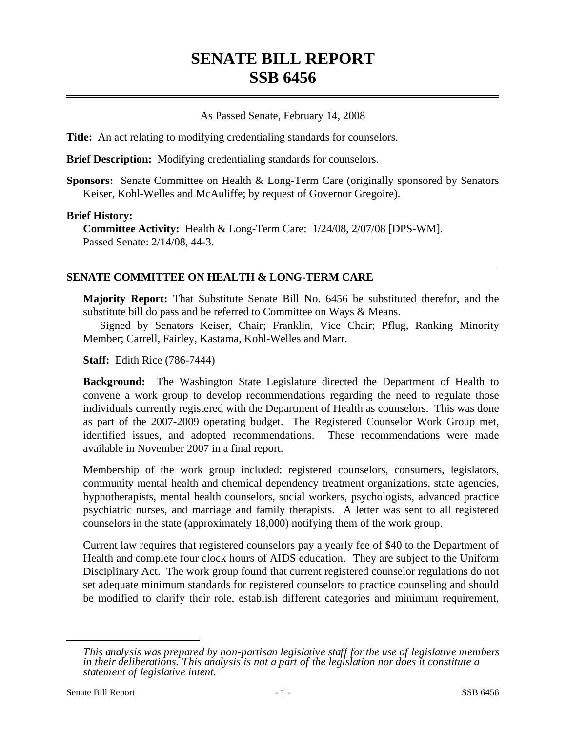# **SENATE BILL REPORT SSB 6456**

### As Passed Senate, February 14, 2008

**Title:** An act relating to modifying credentialing standards for counselors.

**Brief Description:** Modifying credentialing standards for counselors.

**Sponsors:** Senate Committee on Health & Long-Term Care (originally sponsored by Senators Keiser, Kohl-Welles and McAuliffe; by request of Governor Gregoire).

#### **Brief History:**

**Committee Activity:** Health & Long-Term Care: 1/24/08, 2/07/08 [DPS-WM]. Passed Senate: 2/14/08, 44-3.

#### **SENATE COMMITTEE ON HEALTH & LONG-TERM CARE**

**Majority Report:** That Substitute Senate Bill No. 6456 be substituted therefor, and the substitute bill do pass and be referred to Committee on Ways & Means.

Signed by Senators Keiser, Chair; Franklin, Vice Chair; Pflug, Ranking Minority Member; Carrell, Fairley, Kastama, Kohl-Welles and Marr.

**Staff:** Edith Rice (786-7444)

**Background:** The Washington State Legislature directed the Department of Health to convene a work group to develop recommendations regarding the need to regulate those individuals currently registered with the Department of Health as counselors. This was done as part of the 2007-2009 operating budget. The Registered Counselor Work Group met, identified issues, and adopted recommendations. These recommendations were made available in November 2007 in a final report.

Membership of the work group included: registered counselors, consumers, legislators, community mental health and chemical dependency treatment organizations, state agencies, hypnotherapists, mental health counselors, social workers, psychologists, advanced practice psychiatric nurses, and marriage and family therapists. A letter was sent to all registered counselors in the state (approximately 18,000) notifying them of the work group.

Current law requires that registered counselors pay a yearly fee of \$40 to the Department of Health and complete four clock hours of AIDS education. They are subject to the Uniform Disciplinary Act. The work group found that current registered counselor regulations do not set adequate minimum standards for registered counselors to practice counseling and should be modified to clarify their role, establish different categories and minimum requirement,

*This analysis was prepared by non-partisan legislative staff for the use of legislative members in their deliberations. This analysis is not a part of the legislation nor does it constitute a statement of legislative intent.*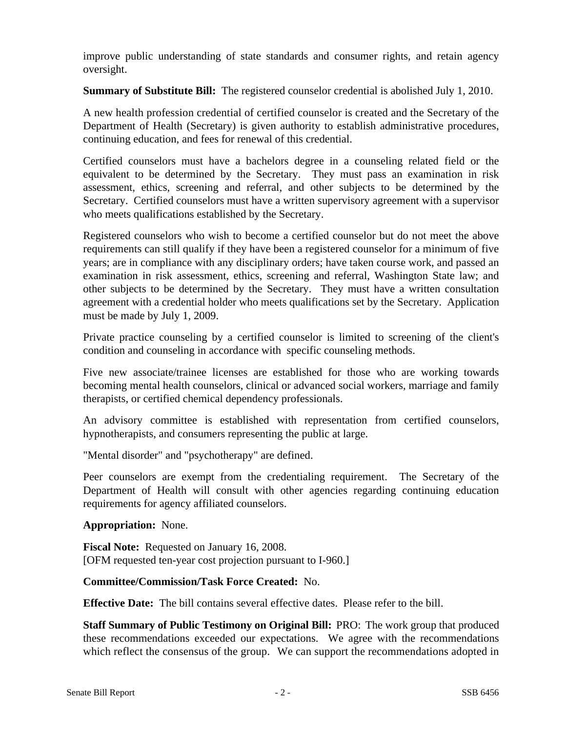improve public understanding of state standards and consumer rights, and retain agency oversight.

**Summary of Substitute Bill:** The registered counselor credential is abolished July 1, 2010.

A new health profession credential of certified counselor is created and the Secretary of the Department of Health (Secretary) is given authority to establish administrative procedures, continuing education, and fees for renewal of this credential.

Certified counselors must have a bachelors degree in a counseling related field or the equivalent to be determined by the Secretary. They must pass an examination in risk assessment, ethics, screening and referral, and other subjects to be determined by the Secretary. Certified counselors must have a written supervisory agreement with a supervisor who meets qualifications established by the Secretary.

Registered counselors who wish to become a certified counselor but do not meet the above requirements can still qualify if they have been a registered counselor for a minimum of five years; are in compliance with any disciplinary orders; have taken course work, and passed an examination in risk assessment, ethics, screening and referral, Washington State law; and other subjects to be determined by the Secretary. They must have a written consultation agreement with a credential holder who meets qualifications set by the Secretary. Application must be made by July 1, 2009.

Private practice counseling by a certified counselor is limited to screening of the client's condition and counseling in accordance with specific counseling methods.

Five new associate/trainee licenses are established for those who are working towards becoming mental health counselors, clinical or advanced social workers, marriage and family therapists, or certified chemical dependency professionals.

An advisory committee is established with representation from certified counselors, hypnotherapists, and consumers representing the public at large.

"Mental disorder" and "psychotherapy" are defined.

Peer counselors are exempt from the credentialing requirement. The Secretary of the Department of Health will consult with other agencies regarding continuing education requirements for agency affiliated counselors.

#### **Appropriation:** None.

**Fiscal Note:** Requested on January 16, 2008. [OFM requested ten-year cost projection pursuant to I-960.]

## **Committee/Commission/Task Force Created:** No.

**Effective Date:** The bill contains several effective dates. Please refer to the bill.

**Staff Summary of Public Testimony on Original Bill:** PRO: The work group that produced these recommendations exceeded our expectations. We agree with the recommendations which reflect the consensus of the group. We can support the recommendations adopted in